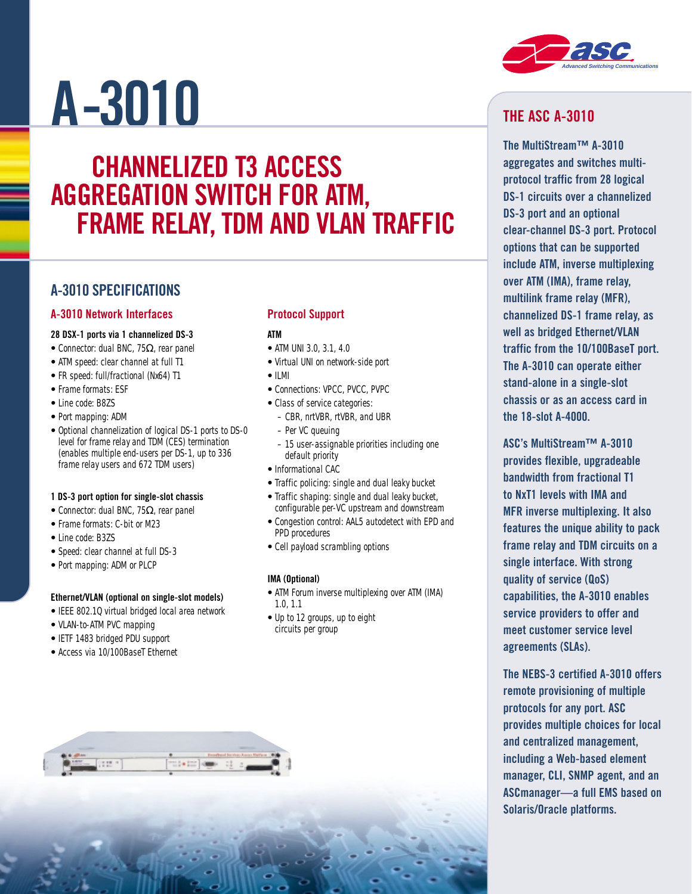# **A-3010**

# **CHANNELIZED T3 ACCESS AGGREGATION SWITCH FOR ATM, FRAME RELAY, TDM AND VLAN TRAFFIC**

### **A-3010 SPECIFICATIONS**

#### **A-3010 Network Interfaces**

#### **28 DSX-1 ports via 1 channelized DS-3**

- Connector: dual BNC, 75Ω, rear panel
- ATM speed: clear channel at full T1
- FR speed: full/fractional (Nx64) T1
- Frame formats: ESF
- Line code: B8ZS
- Port mapping: ADM
- Optional channelization of logical DS-1 ports to DS-0 level for frame relay and TDM (CES) termination (enables multiple end-users per DS-1, up to 336 frame relay users and 672 TDM users)

#### **1 DS-3 port option for single-slot chassis**

- Connector: dual BNC, 75Ω, rear panel
- Frame formats: C-bit or M23
- Line code: B3ZS
- Speed: clear channel at full DS-3
- Port mapping: ADM or PLCP

#### **Ethernet/VLAN (optional on single-slot models)**

- IEEE 802.1Q virtual bridged local area network
- VLAN-to-ATM PVC mapping
- IETF 1483 bridged PDU support
- Access via 10/100BaseT Ethernet

#### **Protocol Support**

#### **ATM**

- ATM UNI 3.0, 3.1, 4.0
- Virtual UNI on network-side port
- ILMI
- Connections: VPCC, PVCC, PVPC
- Class of service categories:
	- CBR, nrtVBR, rtVBR, and UBR
	- Per VC queuing
	- 15 user-assignable priorities including one default priority
- Informational CAC
- Traffic policing: single and dual leaky bucket
- Traffic shaping: single and dual leaky bucket, configurable per-VC upstream and downstream
- Congestion control: AAL5 autodetect with EPD and PPD procedures
- Cell payload scrambling options

#### **IMA (Optional)**

- ATM Forum inverse multiplexing over ATM (IMA) 1.0, 1.1
- Up to 12 groups, up to eight circuits per group



# **THE ASC A-3010**

**The MultiStream™ A-3010 aggregates and switches multiprotocol traffic from 28 logical DS-1 circuits over a channelized DS-3 port and an optional clear-channel DS-3 port. Protocol options that can be supported include ATM, inverse multiplexing over ATM (IMA), frame relay, multilink frame relay (MFR), channelized DS-1 frame relay, as well as bridged Ethernet/VLAN traffic from the 10/100BaseT port. The A-3010 can operate either stand-alone in a single-slot chassis or as an access card in the 18-slot A-4000.** 

**ASC's MultiStream™ A-3010 provides flexible, upgradeable bandwidth from fractional T1 to NxT1 levels with IMA and MFR inverse multiplexing. It also features the unique ability to pack frame relay and TDM circuits on a single interface. With strong quality of service (QoS) capabilities, the A-3010 enables service providers to offer and meet customer service level agreements (SLAs).**

**The NEBS-3 certified A-3010 offers remote provisioning of multiple protocols for any port. ASC provides multiple choices for local and centralized management, including a Web-based element manager, CLI, SNMP agent, and an ASCmanager—a full EMS based on Solaris/Oracle platforms.**